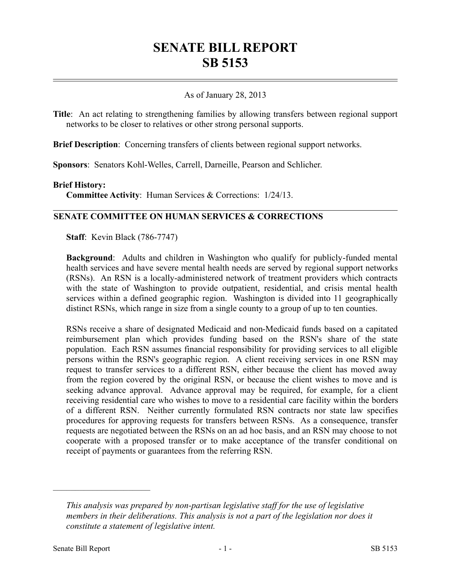# **SENATE BILL REPORT SB 5153**

# As of January 28, 2013

**Title**: An act relating to strengthening families by allowing transfers between regional support networks to be closer to relatives or other strong personal supports.

**Brief Description**: Concerning transfers of clients between regional support networks.

**Sponsors**: Senators Kohl-Welles, Carrell, Darneille, Pearson and Schlicher.

### **Brief History:**

**Committee Activity**: Human Services & Corrections: 1/24/13.

# **SENATE COMMITTEE ON HUMAN SERVICES & CORRECTIONS**

**Staff**: Kevin Black (786-7747)

**Background**: Adults and children in Washington who qualify for publicly-funded mental health services and have severe mental health needs are served by regional support networks (RSNs). An RSN is a locally-administered network of treatment providers which contracts with the state of Washington to provide outpatient, residential, and crisis mental health services within a defined geographic region. Washington is divided into 11 geographically distinct RSNs, which range in size from a single county to a group of up to ten counties.

RSNs receive a share of designated Medicaid and non-Medicaid funds based on a capitated reimbursement plan which provides funding based on the RSN's share of the state population. Each RSN assumes financial responsibility for providing services to all eligible persons within the RSN's geographic region. A client receiving services in one RSN may request to transfer services to a different RSN, either because the client has moved away from the region covered by the original RSN, or because the client wishes to move and is seeking advance approval. Advance approval may be required, for example, for a client receiving residential care who wishes to move to a residential care facility within the borders of a different RSN. Neither currently formulated RSN contracts nor state law specifies procedures for approving requests for transfers between RSNs. As a consequence, transfer requests are negotiated between the RSNs on an ad hoc basis, and an RSN may choose to not cooperate with a proposed transfer or to make acceptance of the transfer conditional on receipt of payments or guarantees from the referring RSN.

––––––––––––––––––––––

*This analysis was prepared by non-partisan legislative staff for the use of legislative members in their deliberations. This analysis is not a part of the legislation nor does it constitute a statement of legislative intent.*